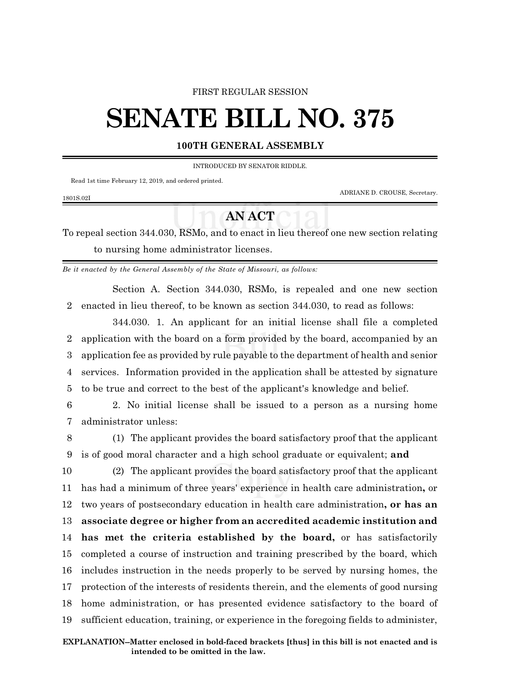## FIRST REGULAR SESSION

# **SENATE BILL NO. 375**

# **100TH GENERAL ASSEMBLY**

INTRODUCED BY SENATOR RIDDLE.

Read 1st time February 12, 2019, and ordered printed.

1801S.02I

ADRIANE D. CROUSE, Secretary.

# **AN ACT**

To repeal section 344.030, RSMo, and to enact in lieu thereof one new section relating to nursing home administrator licenses.

*Be it enacted by the General Assembly of the State of Missouri, as follows:*

Section A. Section 344.030, RSMo, is repealed and one new section 2 enacted in lieu thereof, to be known as section 344.030, to read as follows:

344.030. 1. An applicant for an initial license shall file a completed application with the board on a form provided by the board, accompanied by an application fee as provided by rule payable to the department of health and senior services. Information provided in the application shall be attested by signature to be true and correct to the best of the applicant's knowledge and belief.

- 6 2. No initial license shall be issued to a person as a nursing home 7 administrator unless:
- 8 (1) The applicant provides the board satisfactory proof that the applicant 9 is of good moral character and a high school graduate or equivalent; **and**

 (2) The applicant provides the board satisfactory proof that the applicant has had a minimum of three years' experience in health care administration**,** or two years of postsecondary education in health care administration**, or has an associate degree or higher from an accredited academic institution and has met the criteria established by the board,** or has satisfactorily completed a course of instruction and training prescribed by the board, which includes instruction in the needs properly to be served by nursing homes, the protection of the interests of residents therein, and the elements of good nursing home administration, or has presented evidence satisfactory to the board of sufficient education, training, or experience in the foregoing fields to administer,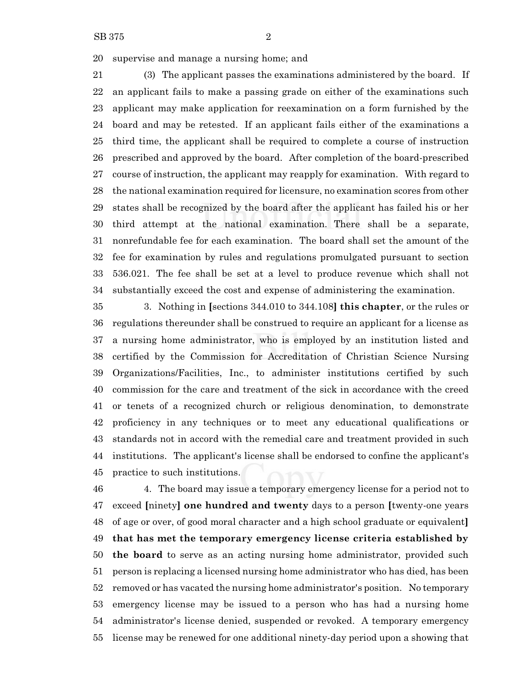supervise and manage a nursing home; and

 (3) The applicant passes the examinations administered by the board. If an applicant fails to make a passing grade on either of the examinations such applicant may make application for reexamination on a form furnished by the board and may be retested. If an applicant fails either of the examinations a third time, the applicant shall be required to complete a course of instruction prescribed and approved by the board. After completion of the board-prescribed course of instruction, the applicant may reapply for examination. With regard to the national examination required for licensure, no examination scores from other states shall be recognized by the board after the applicant has failed his or her third attempt at the national examination. There shall be a separate, nonrefundable fee for each examination. The board shall set the amount of the fee for examination by rules and regulations promulgated pursuant to section 536.021. The fee shall be set at a level to produce revenue which shall not substantially exceed the cost and expense of administering the examination.

 3. Nothing in **[**sections 344.010 to 344.108**] this chapter**, or the rules or regulations thereunder shall be construed to require an applicant for a license as a nursing home administrator, who is employed by an institution listed and certified by the Commission for Accreditation of Christian Science Nursing Organizations/Facilities, Inc., to administer institutions certified by such commission for the care and treatment of the sick in accordance with the creed or tenets of a recognized church or religious denomination, to demonstrate proficiency in any techniques or to meet any educational qualifications or standards not in accord with the remedial care and treatment provided in such institutions. The applicant's license shall be endorsed to confine the applicant's practice to such institutions.

 4. The board may issue a temporary emergency license for a period not to exceed **[**ninety**] one hundred and twenty** days to a person **[**twenty-one years of age or over, of good moral character and a high school graduate or equivalent**] that has met the temporary emergency license criteria established by the board** to serve as an acting nursing home administrator, provided such person is replacing a licensed nursing home administrator who has died, has been removed or has vacated the nursing home administrator's position. No temporary emergency license may be issued to a person who has had a nursing home administrator's license denied, suspended or revoked. A temporary emergency license may be renewed for one additional ninety-day period upon a showing that